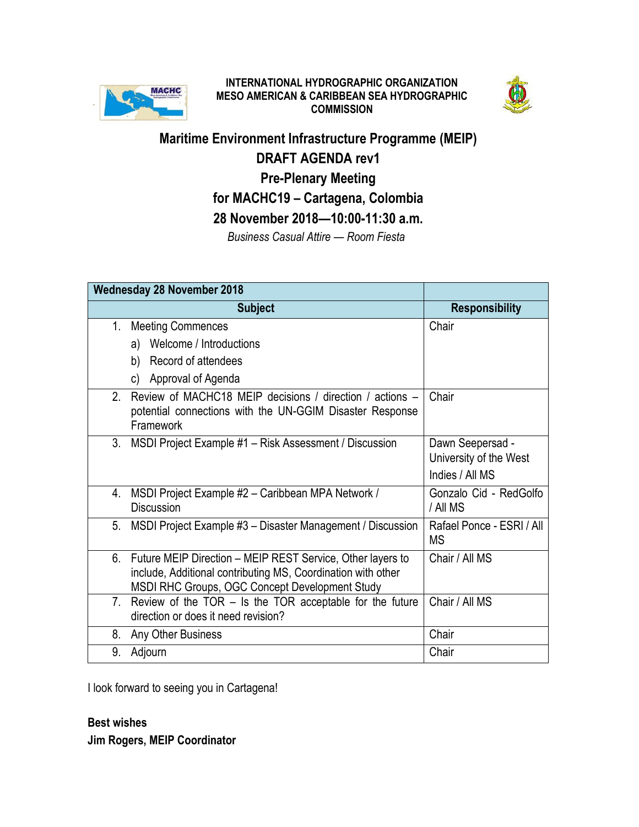

# **INTERNATIONAL HYDROGRAPHIC ORGANIZATION MESO AMERICAN & CARIBBEAN SEA HYDROGRAPHIC COMMISSION**



**Maritime Environment Infrastructure Programme (MEIP) DRAFT AGENDA rev1 Pre-Plenary Meeting for MACHC19 – Cartagena, Colombia 28 November 2018—10:00-11:30 a.m.**  *Business Casual Attire — Room Fiesta*

| <b>Wednesday 28 November 2018</b> |                                                                                                                                   |                                        |
|-----------------------------------|-----------------------------------------------------------------------------------------------------------------------------------|----------------------------------------|
|                                   | <b>Subject</b>                                                                                                                    | <b>Responsibility</b>                  |
| 1.                                | <b>Meeting Commences</b>                                                                                                          | Chair                                  |
|                                   | a) Welcome / Introductions                                                                                                        |                                        |
|                                   | b) Record of attendees                                                                                                            |                                        |
|                                   | Approval of Agenda<br>C)                                                                                                          |                                        |
| 2.                                | Review of MACHC18 MEIP decisions / direction / actions -<br>potential connections with the UN-GGIM Disaster Response<br>Framework | Chair                                  |
| 3.                                | MSDI Project Example #1 – Risk Assessment / Discussion                                                                            | Dawn Seepersad -                       |
|                                   |                                                                                                                                   | University of the West                 |
|                                   |                                                                                                                                   | Indies / All MS                        |
| 4.                                | MSDI Project Example #2 - Caribbean MPA Network /<br><b>Discussion</b>                                                            | Gonzalo Cid - RedGolfo<br>/ All MS     |
| 5.                                | MSDI Project Example #3 - Disaster Management / Discussion                                                                        | Rafael Ponce - ESRI / All<br><b>MS</b> |
|                                   | 6. Future MEIP Direction – MEIP REST Service, Other layers to                                                                     | Chair / All MS                         |
|                                   | include, Additional contributing MS, Coordination with other                                                                      |                                        |
| 7.                                | MSDI RHC Groups, OGC Concept Development Study<br>Review of the TOR $-$ Is the TOR acceptable for the future                      | Chair / All MS                         |
|                                   | direction or does it need revision?                                                                                               |                                        |
| 8.                                | Any Other Business                                                                                                                | Chair                                  |
| 9.                                | Adjourn                                                                                                                           | Chair                                  |

I look forward to seeing you in Cartagena!

# **Best wishes**

**Jim Rogers, MEIP Coordinator**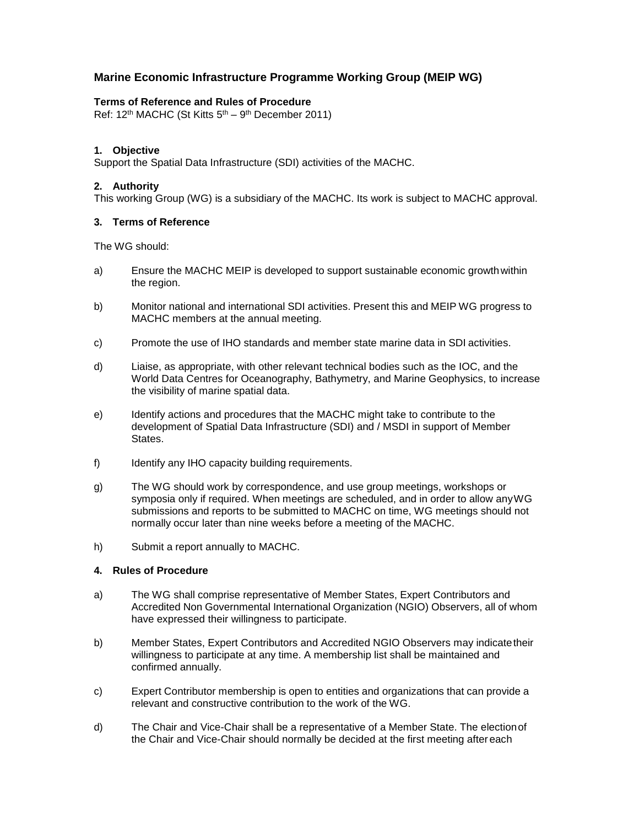## **Marine Economic Infrastructure Programme Working Group (MEIP WG)**

#### **Terms of Reference and Rules of Procedure**

Ref: 12<sup>th</sup> MACHC (St Kitts 5<sup>th</sup> – 9<sup>th</sup> December 2011)

#### **1. Objective**

Support the Spatial Data Infrastructure (SDI) activities of the MACHC.

## **2. Authority**

This working Group (WG) is a subsidiary of the MACHC. Its work is subject to MACHC approval.

### **3. Terms of Reference**

The WG should:

- a) Ensure the MACHC MEIP is developed to support sustainable economic growthwithin the region.
- b) Monitor national and international SDI activities. Present this and MEIP WG progress to MACHC members at the annual meeting.
- c) Promote the use of IHO standards and member state marine data in SDI activities.
- d) Liaise, as appropriate, with other relevant technical bodies such as the IOC, and the World Data Centres for Oceanography, Bathymetry, and Marine Geophysics, to increase the visibility of marine spatial data.
- e) Identify actions and procedures that the MACHC might take to contribute to the development of Spatial Data Infrastructure (SDI) and / MSDI in support of Member States.
- f) Identify any IHO capacity building requirements.
- g) The WG should work by correspondence, and use group meetings, workshops or symposia only if required. When meetings are scheduled, and in order to allow anyWG submissions and reports to be submitted to MACHC on time, WG meetings should not normally occur later than nine weeks before a meeting of the MACHC.
- h) Submit a report annually to MACHC.

#### **4. Rules of Procedure**

- a) The WG shall comprise representative of Member States, Expert Contributors and Accredited Non Governmental International Organization (NGIO) Observers, all of whom have expressed their willingness to participate.
- b) Member States, Expert Contributors and Accredited NGIO Observers may indicatetheir willingness to participate at any time. A membership list shall be maintained and confirmed annually.
- c) Expert Contributor membership is open to entities and organizations that can provide a relevant and constructive contribution to the work of the WG.
- d) The Chair and Vice-Chair shall be a representative of a Member State. The electionof the Chair and Vice-Chair should normally be decided at the first meeting after each